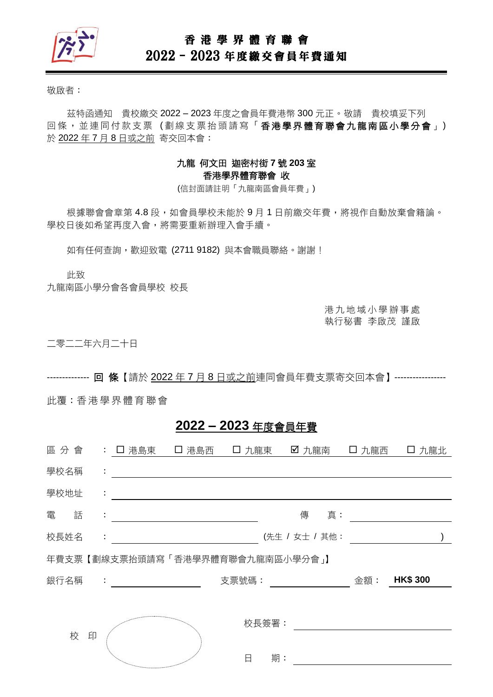

## 香 港 學 界 體 育 聯 會

# 2022–2023 年度繳交會員年費通知

敬啟者:

茲特函通知 貴校繳交 2022 – 2023 年度之會員年費港幣 300 元正。敬請 貴校填妥下列 回條, 並連同付款支票(劃線支票抬頭請寫「香港學界體育聯會九龍南區小學分會」) 於 2022 年 7 月 8 日或之前 寄交回本會:

### 九龍 何文田 迦密村街 **7** 號 **203** 室 香港學界體育聯會 收

(信封面請註明「九龍南區會員年費」)

根據聯會會章第 4.8 段,如會員學校未能於9月1日前繳交年費,將視作自動放棄會籍論。 學校日後如希望再度入會,將需要重新辦理入會手續。

如有任何查詢,歡迎致電 (2711 9182)與本會職員聯絡。謝謝!

此致

九龍南區小學分會各會員學校 校長

港 九 地 域 小 學 辦 事 處 執行秘書 李啟茂 謹啟

二零二二年六月二十日

-------------- 回 條【請於 2022 年 7 月 8 日或之前連同會員年費支票寄交回本會】-----------------

此覆:香港 學 界體 育 聯會

## **2022 – 2023** 年度會員年費

| 區分會                              |   |    | : 口 港島東 [ ] 港島西                                       |  | 口 九龍東 |       | ☑ 九龍南          | 口 九龍西 | 口 九龍北           |  |
|----------------------------------|---|----|-------------------------------------------------------|--|-------|-------|----------------|-------|-----------------|--|
| 學校名稱                             |   | ÷  |                                                       |  |       |       |                |       |                 |  |
| 學校地址                             |   | ÷  |                                                       |  |       |       |                |       |                 |  |
| 電                                | 話 | ÷  |                                                       |  |       |       | 傳<br>真:        |       |                 |  |
| 校長姓名                             |   | ÷. |                                                       |  |       |       | (先生 / 女士 / 其他: |       |                 |  |
| 年費支票【劃線支票抬頭請寫「香港學界體育聯會九龍南區小學分會」】 |   |    |                                                       |  |       |       |                |       |                 |  |
| 銀行名稱                             |   |    | $\mathcal{L}_{\rm{max}}$ and $\mathcal{L}_{\rm{max}}$ |  | 支票號碼: |       |                | 金額:   | <b>HK\$ 300</b> |  |
|                                  |   |    |                                                       |  |       |       |                |       |                 |  |
|                                  |   |    |                                                       |  |       | 校長簽署: |                |       |                 |  |
|                                  | 校 | 印  |                                                       |  |       |       |                |       |                 |  |
|                                  |   |    | <sup>ng</sup> a <sub>ng mananganan</sub>              |  | 日     | 期:    |                |       |                 |  |